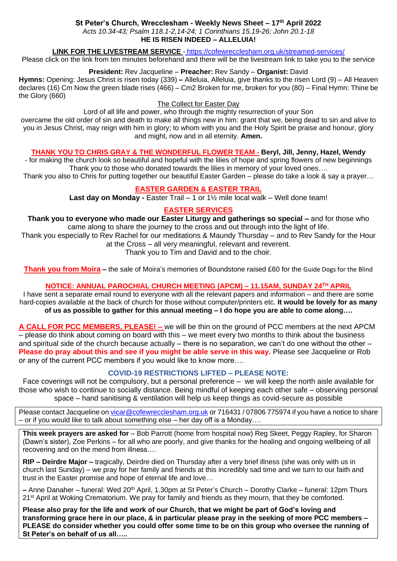### **St Peter's Church, Wrecclesham - Weekly News Sheet – 17 th April 2022**

*Acts 10.34-43; Psalm 118.1-2,14-24; 1 Corinthians 15.19-26; John 20.1-18* **HE IS RISEN INDEED – ALLELUIA!**

### **LINK FOR THE LIVESTREAM SERVICE** - <https://cofewrecclesham.org.uk/streamed-services/>

Please click on the link from ten minutes beforehand and there will be the livestream link to take you to the service

### **President:** Rev Jacqueline – **Preacher:** Rev Sandy – **Organist:** David

**Hymns:** Opening: Jesus Christ is risen today (339) **–** Alleluia, Alleluia, give thanks to the risen Lord (9) – All Heaven declares (16) Cm Now the green blade rises (466) – Cm2 Broken for me, broken for you (80) – Final Hymn: Thine be the Glory (660)

#### The Collect for Easter Day

Lord of all life and power, who through the mighty resurrection of your Son

overcame the old order of sin and death to make all things new in him: grant that we, being dead to sin and alive to you in Jesus Christ, may reign with him in glory; to whom with you and the Holy Spirit be praise and honour, glory and might, now and in all eternity. **Amen.**

### **THANK YOU TO CHRIS GRAY & THE WONDERFUL FLOWER TEAM - Beryl, Jill, Jenny, Hazel, Wendy**

- for making the church look so beautiful and hopeful with the lilies of hope and spring flowers of new beginnings Thank you to those who donated towards the lilies in memory of your loved ones….

Thank you also to Chris for putting together our beautiful Easter Garden – please do take a look & say a prayer…

### **EASTER GARDEN & EASTER TRAIL**

**Last day on Monday -** Easter Trail – 1 or 1½ mile local walk – Well done team!

### **EASTER SERVICES**

**Thank you to everyone who made our Easter Liturgy and gatherings so special –** and for those who came along to share the journey to the cross and out through into the light of life.

Thank you especially to Rev Rachel for our meditations & Maundy Thursday – and to Rev Sandy for the Hour at the Cross – all very meaningful, relevant and reverent.

Thank you to Tim and David and to the choir.

**Thank you from Moira –** the sale of Moira's memories of Boundstone raised £60 for the Guide Dogs for the Blind

### **NOTICE: ANNUAL PAROCHIAL CHURCH MEETING (APCM) – 11.15AM, SUNDAY 24TH APRIL**

I have sent a separate email round to everyone with all the relevant papers and information – and there are some hard-copies available at the back of church for those without computer/printers etc. **It would be lovely for as many of us as possible to gather for this annual meeting – I do hope you are able to come along….**

**A CALL FOR PCC MEMBERS, PLEASE! –** we will be thin on the ground of PCC members at the next APCM – please do think about coming on board with this – we meet every two months to think about the business and spiritual side of the church because actually – there is no separation, we can't do one without the other – **Please do pray about this and see if you might be able serve in this way.** Please see Jacqueline or Rob or any of the current PCC members if you would like to know more….

#### **COVID-19 RESTRICTIONS LIFTED – PLEASE NOTE:**

Face coverings will not be compulsory, but a personal preference – we will keep the north aisle available for those who wish to continue to socially distance. Being mindful of keeping each other safe – observing personal space – hand sanitising & ventilation will help us keep things as covid-secure as possible

Please contact Jacqueline on [vicar@cofewrecclesham.org.uk](mailto:vicar@cofewrecclesham.org.uk) or 716431 / 07806 775974 if you have a notice to share – or if you would like to talk about something else – her day off is a Monday….

**This week prayers are asked for** – Bob Parrott (home from hospital now) Reg Skeet, Peggy Rapley, for Sharon (Dawn's sister), Zoe Perkins – for all who are poorly, and give thanks for the healing and ongoing wellbeing of all recovering and on the mend from illness….

**RIP – Deirdre Major –** tragically, Deirdre died on Thursday after a very brief illness (she was only with us in church last Sunday) – we pray for her family and friends at this incredibly sad time and we turn to our faith and trust in the Easter promise and hope of eternal life and love…

**–** Anne Danaher – funeral: Wed 20th April, 1.30pm at St Peter's Church – Dorothy Clarke – funeral: 12pm Thurs 21<sup>st</sup> April at Woking Crematorium. We pray for family and friends as they mourn, that they be comforted.

**Please also pray for the life and work of our Church, that we might be part of God's loving and transforming grace here in our place, & in particular please pray in the seeking of more PCC members – PLEASE do consider whether you could offer some time to be on this group who oversee the running of St Peter's on behalf of us all…..**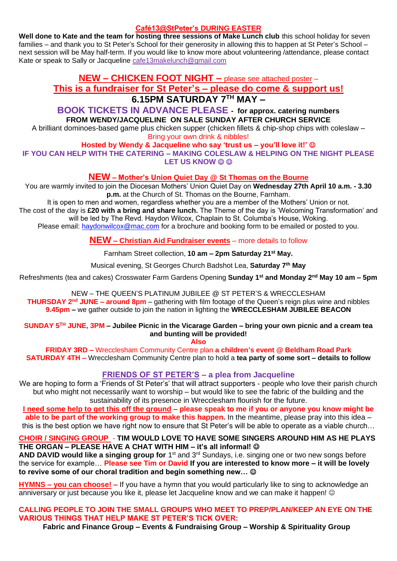### **Café13@StPeter's DURING EASTER**

**Well done to Kate and the team for hosting three sessions of Make Lunch club** this school holiday for seven families – and thank you to St Peter's School for their generosity in allowing this to happen at St Peter's School – next session will be May half-term. If you would like to know more about volunteering /attendance, please contact Kate or speak to Sally or Jacqueline [cafe13makelunch@gmail.com](mailto:cafe13makelunch@gmail.com)

# **NEW – CHICKEN FOOT NIGHT –** please see attached poster – **This is a fundraiser for St Peter's – please do come & support us! 6.15PM SATURDAY 7TH MAY –**

## **BOOK TICKETS IN ADVANCE PLEASE - for approx. catering numbers FROM WENDY/JACQUELINE ON SALE SUNDAY AFTER CHURCH SERVICE**

A brilliant dominoes-based game plus chicken supper (chicken fillets & chip-shop chips with coleslaw – Bring your own drink & nibbles!

#### **Hosted by Wendy & Jacqueline who say 'trust us – you'll love it!'** ☺ **IF YOU CAN HELP WITH THE CATERING – MAKING COLESLAW & HELPING ON THE NIGHT PLEASE**

**LET US KNOW © ©** 

## **NEW – Mother's Union Quiet Day @ St Thomas on the Bourne**

You are warmly invited to join the Diocesan Mothers' Union Quiet Day on **Wednesday 27th April 10 a.m. - 3.30 p.m.** at the Church of St. Thomas on the Bourne, Farnham.

It is open to men and women, regardless whether you are a member of the Mothers' Union or not. The cost of the day is **£20 with a bring and share lunch.** The Theme of the day is 'Welcoming Transformation' and will be led by The Revd. Haydon Wilcox, Chaplain to St. Columba's House, Woking.

Please email: [haydonwilcox@mac.com](mailto:haydonwilcox@mac.com) for a brochure and booking form to be emailed or posted to you.

**NEW – Christian Aid Fundraiser events** – more details to follow

Farnham Street collection, **10 am – 2pm Saturday 21st May.**

Musical evening, St Georges Church Badshot Lea, **Saturday 7th May**

Refreshments (tea and cakes) Crosswater Farm Gardens Opening **Sunday 1st and Monday 2nd May 10 am – 5pm**

NEW – THE QUEEN'S PLATINUM JUBILEE @ ST PETER'S & WRECCLESHAM **THURSDAY 2 nd JUNE – around 8pm** – gathering with film footage of the Queen's reign plus wine and nibbles **9.45pm –** we gather outside to join the nation in lighting the **WRECCLESHAM JUBILEE BEACON**

**SUNDAY 5 TH JUNE, 3PM – Jubilee Picnic in the Vicarage Garden – bring your own picnic and a cream tea and bunting will be provided!**

**Also**

**FRIDAY 3RD –** Wrecclesham Community Centre plan **a children's event @ Beldham Road Park SATURDAY 4TH –** Wrecclesham Community Centre plan to hold a **tea party of some sort – details to follow**

## **FRIENDS OF ST PETER'S – a plea from Jacqueline**

We are hoping to form a 'Friends of St Peter's' that will attract supporters - people who love their parish church but who might not necessarily want to worship – but would like to see the fabric of the building and the sustainability of its presence in Wrecclesham flourish for the future.

**I need some help to get this off the ground – please speak to me if you or anyone you know might be able to be part of the working group to make this happen.** In the meantime, please pray into this idea – this is the best option we have right now to ensure that St Peter's will be able to operate as a viable church…

### **CHOIR / SINGING GROUP** - **TIM WOULD LOVE TO HAVE SOME SINGERS AROUND HIM AS HE PLAYS THE ORGAN – PLEASE HAVE A CHAT WITH HIM – it's all informal!** ☺

AND DAVID would like a singing group for 1<sup>st</sup> and 3<sup>rd</sup> Sundays, i.e. singing one or two new songs before the service for example… **Please see Tim or David If you are interested to know more – it will be lovely to revive some of our choral tradition and begin something new…** ☺

**HYMNS – you can choose! –** If you have a hymn that you would particularly like to sing to acknowledge an anniversary or just because you like it, please let Jacqueline know and we can make it happen! ©

## **CALLING PEOPLE TO JOIN THE SMALL GROUPS WHO MEET TO PREP/PLAN/KEEP AN EYE ON THE VARIOUS THINGS THAT HELP MAKE ST PETER'S TICK OVER:**

**Fabric and Finance Group – Events & Fundraising Group – Worship & Spirituality Group**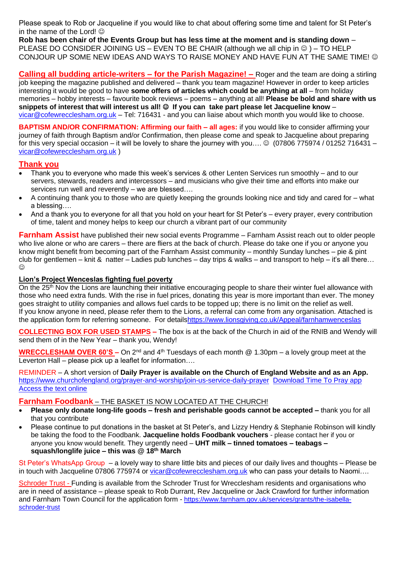Please speak to Rob or Jacqueline if you would like to chat about offering some time and talent for St Peter's in the name of the Lord!  $\odot$ 

**Rob has been chair of the Events Group but has less time at the moment and is standing down** – PLEASE DO CONSIDER JOINING US – EVEN TO BE CHAIR (although we all chip in  $\circledcirc$ ) – TO HELP CONJOUR UP SOME NEW IDEAS AND WAYS TO RAISE MONEY AND HAVE FUN AT THE SAME TIME! ©

**Calling all budding article-writers – for the Parish Magazine! –** Roger and the team are doing a stirling job keeping the magazine published and delivered – thank you team magazine! However in order to keep articles interesting it would be good to have **some offers of articles which could be anything at all** – from holiday memories – hobby interests – favourite book reviews – poems – anything at all! **Please be bold and share with us snippets of interest that will interest us all!** ☺ **If you can take part please let Jacqueline know** – [vicar@cofewrecclesham.org.uk](mailto:vicar@cofewrecclesham.org.uk) - Tel: 716431 - and you can liaise about which month you would like to choose.

**BAPTISM AND/OR CONFIRMATION: Affirming our faith – all ages:** if you would like to consider affirming your journey of faith through Baptism and/or Confirmation, then please come and speak to Jacqueline about preparing for this very special occasion – it will be lovely to share the journey with you....  $\odot$  (07806 775974 / 01252 716431 – [vicar@cofewrecclesham.org.uk](mailto:vicar@cofewrecclesham.org.uk) )

### **Thank you**

- Thank you to everyone who made this week's services & other Lenten Services run smoothly and to our servers, stewards, readers and intercessors – and musicians who give their time and efforts into make our services run well and reverently – we are blessed….
- A continuing thank you to those who are quietly keeping the grounds looking nice and tidy and cared for what a blessing….
- And a thank you to everyone for all that you hold on your heart for St Peter's every prayer, every contribution of time, talent and money helps to keep our church a vibrant part of our community

**Farnham Assist** have published their new social events Programme – Farnham Assist reach out to older people who live alone or who are carers – there are fliers at the back of church. Please do take one if you or anyone you know might benefit from becoming part of the Farnham Assist community – monthly Sunday lunches – pie & pint club for gentlemen – knit & natter – Ladies pub lunches – day trips & walks – and transport to help – it's all there…  $\odot$ 

### **Lion's Project Wenceslas fighting fuel poverty**

On the 25<sup>th</sup> Nov the Lions are launching their initiative encouraging people to share their winter fuel allowance with those who need extra funds. With the rise in fuel prices, donating this year is more important than ever. The money goes straight to utility companies and allows fuel cards to be topped up; there is no limit on the relief as well. If you know anyone in need, please refer them to the Lions, a referral can come from any organisation. Attached is the application form for referring someone. For detail[shttps://www.lionsgiving.co.uk/Appeal/farnhamwenceslas](https://www.lionsgiving.co.uk/Appeal/farnhamwenceslas)

**COLLECTING BOX FOR USED STAMPS –** The box is at the back of the Church in aid of the RNIB and Wendy will send them of in the New Year – thank you, Wendy!

**WRECCLESHAM OVER 60'S –** On 2<sup>nd</sup> and 4<sup>th</sup> Tuesdays of each month @ 1.30pm – a lovely group meet at the Leverton Hall – please pick up a leaflet for information….

REMINDER – A short version of **Daily Prayer is available on the Church of England Website and as an App.** <https://www.churchofengland.org/prayer-and-worship/join-us-service-daily-prayer> [Download Time To Pray app](https://www.chpublishing.co.uk/apps/time-to-pray)  [Access the text online](https://www.churchofengland.org/prayer-and-worship/join-us-in-daily-prayer/prayer-during-day-contemporary-Saturday-30-January-2021)

### **Farnham Foodbank** – THE BASKET IS NOW LOCATED AT THE CHURCH!

- **Please only donate long-life goods – fresh and perishable goods cannot be accepted –** thank you for all that you contribute
- Please continue to put donations in the basket at St Peter's, and Lizzy Hendry & Stephanie Robinson will kindly be taking the food to the Foodbank. **Jacqueline holds Foodbank vouchers** - please contact her if you or anyone you know would benefit. They urgently need – **UHT milk – tinned tomatoes – teabags – squash/longlife juice – this was @ 18 th March**

St Peter's WhatsApp Group – a lovely way to share little bits and pieces of our daily lives and thoughts – Please be in touch with Jacqueline 07806 775974 or [vicar@cofewrecclesham.org.uk](mailto:vicar@cofewrecclesham.org.uk) who can pass your details to Naomi....

Schroder Trust - Funding is available from the Schroder Trust for Wrecclesham residents and organisations who are in need of assistance – please speak to Rob Durrant, Rev Jacqueline or Jack Crawford for further information and Farnham Town Council for the application form - [https://www.farnham.gov.uk/services/grants/the-isabella](https://www.farnham.gov.uk/services/grants/the-isabella-schroder-trust)[schroder-trust](https://www.farnham.gov.uk/services/grants/the-isabella-schroder-trust)